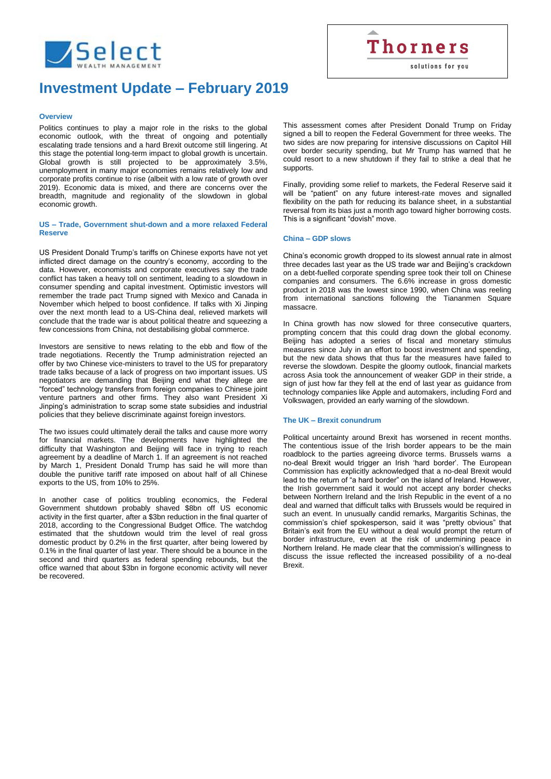

# **Investment Update – February 2019**

## **Overview**

Politics continues to play a major role in the risks to the global economic outlook, with the threat of ongoing and potentially escalating trade tensions and a hard Brexit outcome still lingering. At this stage the potential long-term impact to global growth is uncertain. Global growth is still projected to be approximately 3.5%, unemployment in many major economies remains relatively low and corporate profits continue to rise (albeit with a low rate of growth over 2019). Economic data is mixed, and there are concerns over the breadth, magnitude and regionality of the slowdown in global economic growth.

## **US – Trade, Government shut-down and a more relaxed Federal Reserve**

US President Donald Trump's tariffs on Chinese exports have not yet inflicted direct damage on the country's economy, according to the data. However, economists and corporate executives say the trade conflict has taken a heavy toll on sentiment, leading to a slowdown in consumer spending and capital investment. Optimistic investors will remember the trade pact Trump signed with Mexico and Canada in November which helped to boost confidence. If talks with Xi Jinping over the next month lead to a US-China deal, relieved markets will conclude that the trade war is about political theatre and squeezing a few concessions from China, not destabilising global commerce.

Investors are sensitive to news relating to the ebb and flow of the trade negotiations. Recently the Trump administration rejected an offer by two Chinese vice-ministers to travel to the US for preparatory trade talks because of a lack of progress on two important issues. US negotiators are demanding that Beijing end what they allege are "forced" technology transfers from foreign companies to Chinese joint venture partners and other firms. They also want President Xi Jinping's administration to scrap some state subsidies and industrial policies that they believe discriminate against foreign investors.

The two issues could ultimately derail the talks and cause more worry for financial markets. The developments have highlighted the difficulty that Washington and Beijing will face in trying to reach agreement by a deadline of March 1. If an agreement is not reached by March 1, President Donald Trump has said he will more than double the punitive tariff rate imposed on about half of all Chinese exports to the US, from 10% to 25%.

In another case of politics troubling economics, the Federal Government shutdown probably shaved \$8bn off US economic activity in the first quarter, after a \$3bn reduction in the final quarter of 2018, according to the Congressional Budget Office. The watchdog estimated that the shutdown would trim the level of real gross domestic product by 0.2% in the first quarter, after being lowered by 0.1% in the final quarter of last year. There should be a bounce in the second and third quarters as federal spending rebounds, but the office warned that about \$3bn in forgone economic activity will never be recovered.

This assessment comes after President Donald Trump on Friday signed a bill to reopen the Federal Government for three weeks. The two sides are now preparing for intensive discussions on Capitol Hill over border security spending, but Mr Trump has warned that he could resort to a new shutdown if they fail to strike a deal that he supports.

**Thorners** 

solutions for you

Finally, providing some relief to markets, the Federal Reserve said it will be "patient" on any future interest-rate moves and signalled flexibility on the path for reducing its balance sheet, in a substantial reversal from its bias just a month ago toward higher borrowing costs. This is a significant "dovish" move.

## **China – GDP slows**

China's economic growth dropped to its slowest annual rate in almost three decades last year as the US trade war and Beijing's crackdown on a debt-fuelled corporate spending spree took their toll on Chinese companies and consumers. The 6.6% increase in gross domestic product in 2018 was the lowest since 1990, when China was reeling from international sanctions following the Tiananmen Square massacre.

In China growth has now slowed for three consecutive quarters, prompting concern that this could drag down the global economy. Beijing has adopted a series of fiscal and monetary stimulus measures since July in an effort to boost investment and spending, but the new data shows that thus far the measures have failed to reverse the slowdown. Despite the gloomy outlook, financial markets across Asia took the announcement of weaker GDP in their stride, a sign of just how far they fell at the end of last year as guidance from technology companies like Apple and automakers, including Ford and Volkswagen, provided an early warning of the slowdown.

## **The UK – Brexit conundrum**

Political uncertainty around Brexit has worsened in recent months. The contentious issue of the Irish border appears to be the main roadblock to the parties agreeing divorce terms. Brussels warns a no-deal Brexit would trigger an Irish 'hard border'. The European Commission has explicitly acknowledged that a no-deal Brexit would lead to the return of "a hard border" on the island of Ireland. However, the Irish government said it would not accept any border checks between Northern Ireland and the Irish Republic in the event of a no deal and warned that difficult talks with Brussels would be required in such an event. In unusually candid remarks, Margaritis Schinas, the commission's chief spokesperson, said it was "pretty obvious" that Britain's exit from the EU without a deal would prompt the return of border infrastructure, even at the risk of undermining peace in Northern Ireland. He made clear that the commission's willingness to discuss the issue reflected the increased possibility of a no-deal Brexit.